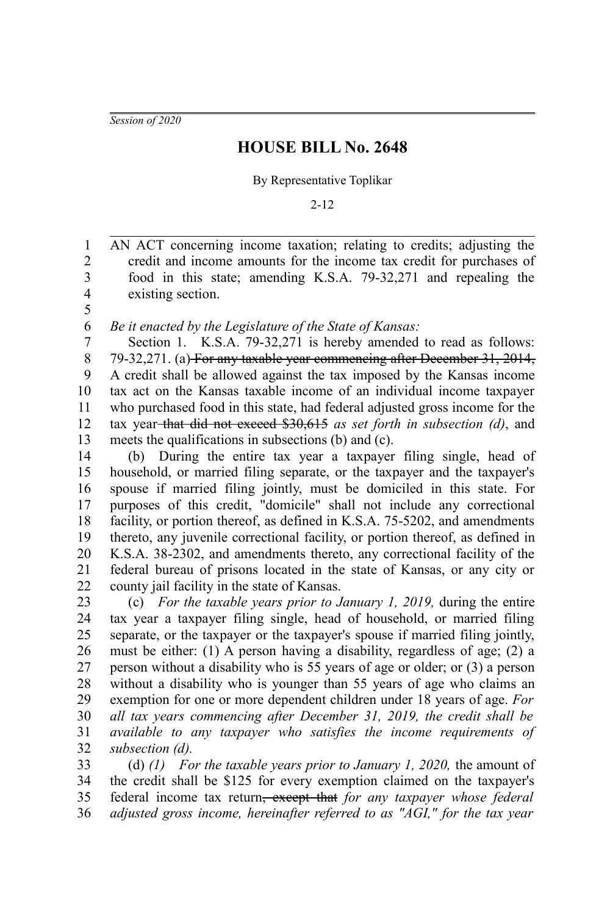*Session of 2020*

## **HOUSE BILL No. 2648**

## By Representative Toplikar

2-12

AN ACT concerning income taxation; relating to credits; adjusting the credit and income amounts for the income tax credit for purchases of food in this state; amending K.S.A. 79-32,271 and repealing the existing section. 1 2 3 4

5

*Be it enacted by the Legislature of the State of Kansas:* 6

Section 1. K.S.A. 79-32,271 is hereby amended to read as follows: 79-32,271. (a) For any taxable year commencing after December 31, 2014, A credit shall be allowed against the tax imposed by the Kansas income tax act on the Kansas taxable income of an individual income taxpayer who purchased food in this state, had federal adjusted gross income for the tax year that did not exceed \$30,615 *as set forth in subsection (d)*, and meets the qualifications in subsections (b) and (c). 7 8 9 10 11 12 13

(b) During the entire tax year a taxpayer filing single, head of household, or married filing separate, or the taxpayer and the taxpayer's spouse if married filing jointly, must be domiciled in this state. For purposes of this credit, "domicile" shall not include any correctional facility, or portion thereof, as defined in K.S.A. 75-5202, and amendments thereto, any juvenile correctional facility, or portion thereof, as defined in K.S.A. 38-2302, and amendments thereto, any correctional facility of the federal bureau of prisons located in the state of Kansas, or any city or county jail facility in the state of Kansas. 14 15 16 17 18 19 20 21 22

(c) *For the taxable years prior to January 1, 2019,* during the entire tax year a taxpayer filing single, head of household, or married filing separate, or the taxpayer or the taxpayer's spouse if married filing jointly, must be either: (1) A person having a disability, regardless of age; (2) a person without a disability who is 55 years of age or older; or (3) a person without a disability who is younger than 55 years of age who claims an exemption for one or more dependent children under 18 years of age. *For all tax years commencing after December 31, 2019, the credit shall be available to any taxpayer who satisfies the income requirements of subsection (d).* 23 24 25 26 27 28 29 30 31 32

(d) *(1) For the taxable years prior to January 1, 2020,* the amount of the credit shall be \$125 for every exemption claimed on the taxpayer's federal income tax return, except that *for any taxpayer whose federal adjusted gross income, hereinafter referred to as "AGI," for the tax year* 33 34 35 36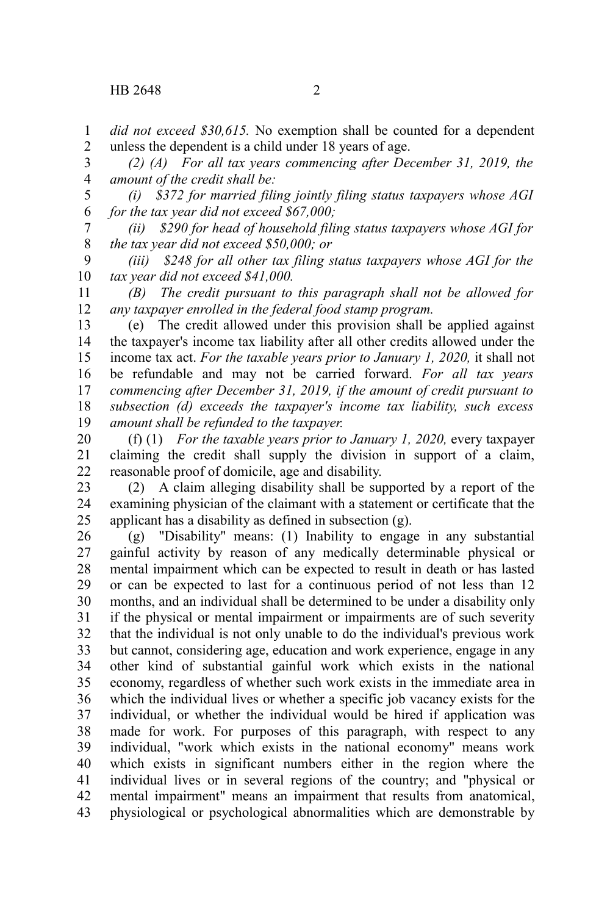*did not exceed \$30,615.* No exemption shall be counted for a dependent unless the dependent is a child under 18 years of age. 1 2

*(2) (A) For all tax years commencing after December 31, 2019, the amount of the credit shall be:*  3 4

*(i) \$372 for married filing jointly filing status taxpayers whose AGI for the tax year did not exceed \$67,000;* 5 6

*(ii) \$290 for head of household filing status taxpayers whose AGI for the tax year did not exceed \$50,000; or* 7 8

*(iii) \$248 for all other tax filing status taxpayers whose AGI for the tax year did not exceed \$41,000.* 9 10

*(B) The credit pursuant to this paragraph shall not be allowed for any taxpayer enrolled in the federal food stamp program.* 11 12

(e) The credit allowed under this provision shall be applied against the taxpayer's income tax liability after all other credits allowed under the income tax act. *For the taxable years prior to January 1, 2020,* it shall not be refundable and may not be carried forward. *For all tax years commencing after December 31, 2019, if the amount of credit pursuant to subsection (d) exceeds the taxpayer's income tax liability, such excess amount shall be refunded to the taxpayer.* 13 14 15 16 17 18 19

(f) (1) *For the taxable years prior to January 1, 2020,* every taxpayer claiming the credit shall supply the division in support of a claim, reasonable proof of domicile, age and disability. 20 21 22

(2) A claim alleging disability shall be supported by a report of the examining physician of the claimant with a statement or certificate that the applicant has a disability as defined in subsection (g). 23 24 25

(g) "Disability" means: (1) Inability to engage in any substantial gainful activity by reason of any medically determinable physical or mental impairment which can be expected to result in death or has lasted or can be expected to last for a continuous period of not less than 12 months, and an individual shall be determined to be under a disability only if the physical or mental impairment or impairments are of such severity that the individual is not only unable to do the individual's previous work but cannot, considering age, education and work experience, engage in any other kind of substantial gainful work which exists in the national economy, regardless of whether such work exists in the immediate area in which the individual lives or whether a specific job vacancy exists for the individual, or whether the individual would be hired if application was made for work. For purposes of this paragraph, with respect to any individual, "work which exists in the national economy" means work which exists in significant numbers either in the region where the individual lives or in several regions of the country; and "physical or mental impairment" means an impairment that results from anatomical, physiological or psychological abnormalities which are demonstrable by 26 27 28 29 30 31 32 33 34 35 36 37 38 39 40 41 42 43